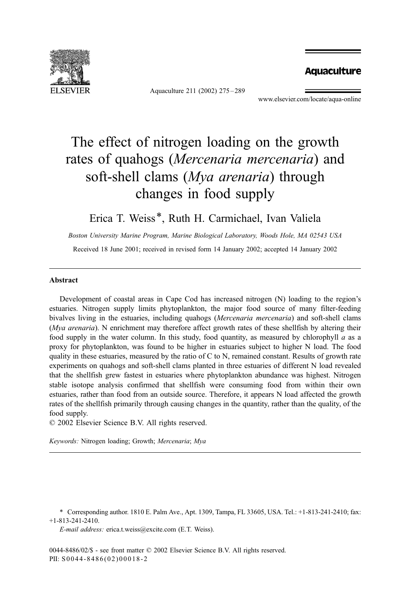

Aquaculture 211 (2002) 275 – 289

# **Aquaculture**

www.elsevier.com/locate/aqua-online

# The effect of nitrogen loading on the growth rates of quahogs (Mercenaria mercenaria) and soft-shell clams (*Mya arenaria*) through changes in food supply

# Erica T. Weiss\*, Ruth H. Carmichael, Ivan Valiela

Boston University Marine Program, Marine Biological Laboratory, Woods Hole, MA 02543 USA Received 18 June 2001; received in revised form 14 January 2002; accepted 14 January 2002

#### Abstract

Development of coastal areas in Cape Cod has increased nitrogen (N) loading to the region's estuaries. Nitrogen supply limits phytoplankton, the major food source of many filter-feeding bivalves living in the estuaries, including quahogs (Mercenaria mercenaria) and soft-shell clams (*Mya arenaria*). N enrichment may therefore affect growth rates of these shellfish by altering their food supply in the water column. In this study, food quantity, as measured by chlorophyll  $a$  as a proxy for phytoplankton, was found to be higher in estuaries subject to higher N load. The food quality in these estuaries, measured by the ratio of C to N, remained constant. Results of growth rate experiments on quahogs and soft-shell clams planted in three estuaries of different N load revealed that the shellfish grew fastest in estuaries where phytoplankton abundance was highest. Nitrogen stable isotope analysis confirmed that shellfish were consuming food from within their own estuaries, rather than food from an outside source. Therefore, it appears N load affected the growth rates of the shellfish primarily through causing changes in the quantity, rather than the quality, of the food supply.

 $\odot$  2002 Elsevier Science B.V. All rights reserved.

Keywords: Nitrogen loading; Growth; Mercenaria; Mya

\* Corresponding author. 1810 E. Palm Ave., Apt. 1309, Tampa, FL 33605, USA. Tel.: +1-813-241-2410; fax: +1-813-241-2410.

E-mail address: erica.t.weiss@excite.com (E.T. Weiss).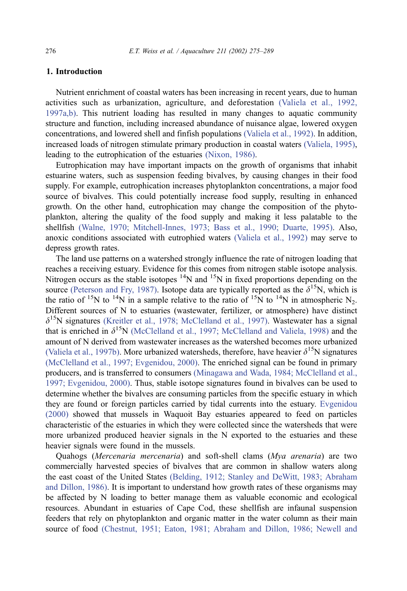# 1. Introduction

Nutrient enrichment of coastal waters has been increasing in recent years, due to human activities such as urbanization, agriculture, and deforestation [\(Valiela et al., 1992,](#page-14-0) 1997a,b). This nutrient loading has resulted in many changes to aquatic community structure and function, including increased abundance of nuisance algae, lowered oxygen concentrations, and lowered shell and finfish populations [\(Valiela et al., 1992\).](#page-14-0) In addition, increased loads of nitrogen stimulate primary production in coastal waters [\(Valiela, 1995\),](#page-14-0) leading to the eutrophication of the estuaries [\(Nixon, 1986\).](#page-14-0)

Eutrophication may have important impacts on the growth of organisms that inhabit estuarine waters, such as suspension feeding bivalves, by causing changes in their food supply. For example, eutrophication increases phytoplankton concentrations, a major food source of bivalves. This could potentially increase food supply, resulting in enhanced growth. On the other hand, eutrophication may change the composition of the phytoplankton, altering the quality of the food supply and making it less palatable to the shellfish [\(Walne, 1970; Mitchell-Innes, 1973; Bass et al., 1990; Duarte, 1995\).](#page-14-0) Also, anoxic conditions associated with eutrophied waters [\(Valiela et al., 1992\)](#page-14-0) may serve to depress growth rates.

The land use patterns on a watershed strongly influence the rate of nitrogen loading that reaches a receiving estuary. Evidence for this comes from nitrogen stable isotope analysis. Nitrogen occurs as the stable isotopes  ${}^{14}N$  and  ${}^{15}N$  in fixed proportions depending on the source [\(Peterson and Fry, 1987\).](#page-14-0) Isotope data are typically reported as the  $\delta^{15}N$ , which is the ratio of <sup>15</sup>N to <sup>14</sup>N in a sample relative to the ratio of <sup>15</sup>N to <sup>14</sup>N in atmospheric N<sub>2</sub>. Different sources of N to estuaries (wastewater, fertilizer, or atmosphere) have distinct  $\delta^{15}$ N signatures [\(Kreitler et al., 1978; McClelland et al., 1997\).](#page-13-0) Wastewater has a signal that is enriched in  $\delta^{15}N$  [\(McClelland et al., 1997; McClelland and Valiela, 1998\)](#page-14-0) and the amount of N derived from wastewater increases as the watershed becomes more urbanized [\(Valiela et al., 1997b\).](#page-14-0) More urbanized watersheds, therefore, have heavier  $\delta^{15}N$  signatures [\(McClelland et al., 1997; Evgenidou, 2000\).](#page-14-0) The enriched signal can be found in primary producers, and is transferred to consumers [\(Minagawa and Wada, 1984; McClelland et al.,](#page-14-0) 1997; Evgenidou, 2000). Thus, stable isotope signatures found in bivalves can be used to determine whether the bivalves are consuming particles from the specific estuary in which they are found or foreign particles carried by tidal currents into the estuary. [Evgenidou](#page-13-0) (2000) showed that mussels in Waquoit Bay estuaries appeared to feed on particles characteristic of the estuaries in which they were collected since the watersheds that were more urbanized produced heavier signals in the N exported to the estuaries and these heavier signals were found in the mussels.

Quahogs (Mercenaria mercenaria) and soft-shell clams (Mya arenaria) are two commercially harvested species of bivalves that are common in shallow waters along the east coast of the United States [\(Belding, 1912; Stanley and DeWitt, 1983; Abraham](#page-13-0) and Dillon, 1986). It is important to understand how growth rates of these organisms may be affected by N loading to better manage them as valuable economic and ecological resources. Abundant in estuaries of Cape Cod, these shellfish are infaunal suspension feeders that rely on phytoplankton and organic matter in the water column as their main source of food [\(Chestnut, 1951; Eaton, 1981; Abraham and Dillon, 1986; Newell and](#page-13-0)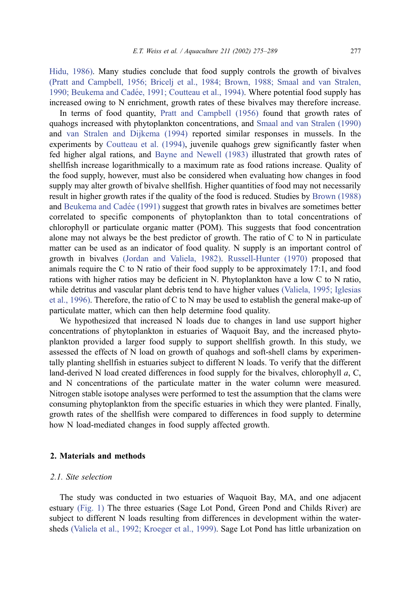Hidu, 1986). Many studies conclude that food supply controls the growth of bivalves [\(Pratt and Campbell, 1956; Bricelj et al., 1984; Brown, 1988; Smaal and van Stralen,](#page-14-0) 1990; Beukema and Cadée, 1991; Coutteau et al., 1994). Where potential food supply has increased owing to N enrichment, growth rates of these bivalves may therefore increase.

In terms of food quantity, [Pratt and Campbell \(1956\)](#page-14-0) found that growth rates of quahogs increased with phytoplankton concentrations, and [Smaal and van Stralen \(1990\)](#page-14-0) and [van Stralen and Dijkema \(1994\)](#page-14-0) reported similar responses in mussels. In the experiments by [Coutteau et al. \(1994\),](#page-13-0) juvenile quahogs grew significantly faster when fed higher algal rations, and [Bayne and Newell \(1983\)](#page-13-0) illustrated that growth rates of shellfish increase logarithmically to a maximum rate as food rations increase. Quality of the food supply, however, must also be considered when evaluating how changes in food supply may alter growth of bivalve shellfish. Higher quantities of food may not necessarily result in higher growth rates if the quality of the food is reduced. Studies by [Brown \(1988\)](#page-13-0) and Beukema and Cadée (1991) suggest that growth rates in bivalves are sometimes better correlated to specific components of phytoplankton than to total concentrations of chlorophyll or particulate organic matter (POM). This suggests that food concentration alone may not always be the best predictor of growth. The ratio of  $C$  to  $N$  in particulate matter can be used as an indicator of food quality. N supply is an important control of growth in bivalves [\(Jordan and Valiela, 1982\).](#page-13-0) [Russell-Hunter \(1970\)](#page-14-0) proposed that animals require the C to N ratio of their food supply to be approximately 17:1, and food rations with higher ratios may be deficient in N. Phytoplankton have a low C to N ratio, while detritus and vascular plant debris tend to have higher values [\(Valiela, 1995; Iglesias](#page-14-0) et al., 1996). Therefore, the ratio of C to N may be used to establish the general make-up of particulate matter, which can then help determine food quality.

We hypothesized that increased N loads due to changes in land use support higher concentrations of phytoplankton in estuaries of Waquoit Bay, and the increased phytoplankton provided a larger food supply to support shellfish growth. In this study, we assessed the effects of N load on growth of quahogs and soft-shell clams by experimentally planting shellfish in estuaries subject to different N loads. To verify that the different land-derived N load created differences in food supply for the bivalves, chlorophyll a, C, and N concentrations of the particulate matter in the water column were measured. Nitrogen stable isotope analyses were performed to test the assumption that the clams were consuming phytoplankton from the specific estuaries in which they were planted. Finally, growth rates of the shellfish were compared to differences in food supply to determine how N load-mediated changes in food supply affected growth.

# 2. Materials and methods

#### 2.1. Site selection

The study was conducted in two estuaries of Waquoit Bay, MA, and one adjacent estuary [\(Fig. 1\)](#page-3-0) The three estuaries (Sage Lot Pond, Green Pond and Childs River) are subject to different N loads resulting from differences in development within the watersheds [\(Valiela et al., 1992; Kroeger et al., 1999\).](#page-14-0) Sage Lot Pond has little urbanization on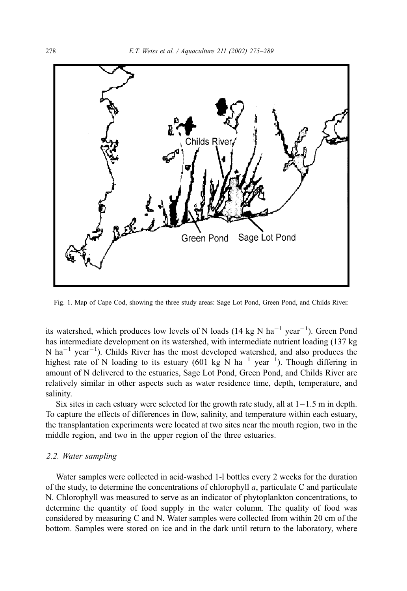<span id="page-3-0"></span>

Fig. 1. Map of Cape Cod, showing the three study areas: Sage Lot Pond, Green Pond, and Childs River.

its watershed, which produces low levels of N loads (14 kg N ha<sup>-1</sup> year<sup>-1</sup>). Green Pond has intermediate development on its watershed, with intermediate nutrient loading (137 kg N ha<sup>-1</sup> year<sup>-1</sup>). Childs River has the most developed watershed, and also produces the highest rate of N loading to its estuary (601 kg N ha<sup>-1</sup> year<sup>-1</sup>). Though differing in amount of N delivered to the estuaries, Sage Lot Pond, Green Pond, and Childs River are relatively similar in other aspects such as water residence time, depth, temperature, and salinity.

Six sites in each estuary were selected for the growth rate study, all at  $1-1.5$  m in depth. To capture the effects of differences in flow, salinity, and temperature within each estuary, the transplantation experiments were located at two sites near the mouth region, two in the middle region, and two in the upper region of the three estuaries.

### 2.2. Water sampling

Water samples were collected in acid-washed 1-l bottles every 2 weeks for the duration of the study, to determine the concentrations of chlorophyll  $a$ , particulate C and particulate N. Chlorophyll was measured to serve as an indicator of phytoplankton concentrations, to determine the quantity of food supply in the water column. The quality of food was considered by measuring C and N. Water samples were collected from within 20 cm of the bottom. Samples were stored on ice and in the dark until return to the laboratory, where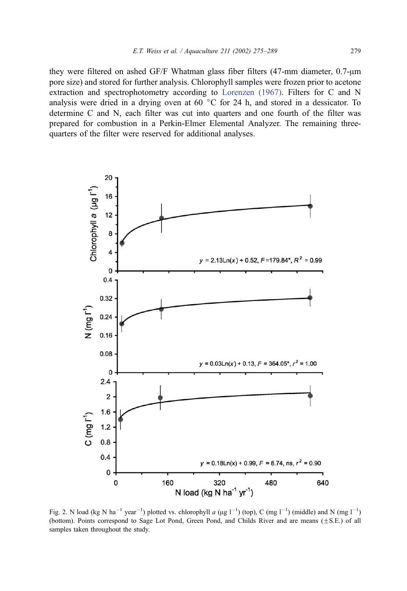<span id="page-4-0"></span>they were filtered on ashed GF/F Whatman glass fiber filters  $(47$ -mm diameter,  $0.7$ - $\mu$ m pore size) and stored for further analysis. Chlorophyll samples were frozen prior to acetone extraction and spectrophotometry according to [Lorenzen \(1967\).](#page-14-0) Filters for C and N analysis were dried in a drying oven at 60  $\degree$ C for 24 h, and stored in a dessicator. To determine C and N, each filter was cut into quarters and one fourth of the filter was prepared for combustion in a Perkin-Elmer Elemental Analyzer. The remaining threequarters of the filter were reserved for additional analyses.



Fig. 2. N load (kg N ha<sup>-1</sup> year<sup>-1</sup>) plotted vs. chlorophyll *a* (µg l<sup>-1</sup>) (top), C (mg l<sup>-1</sup>) (middle) and N (mg l<sup>-1</sup>) (bottom). Points correspond to Sage Lot Pond, Green Pond, and Childs River and are means  $(\pm S.E.)$  of all samples taken throughout the study.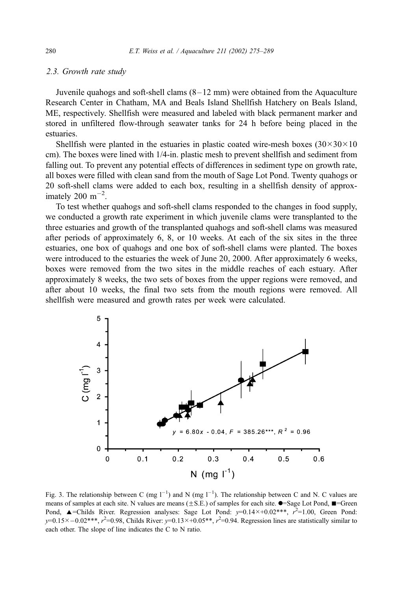#### <span id="page-5-0"></span>2.3. Growth rate study

Juvenile quahogs and soft-shell clams  $(8-12 \text{ mm})$  were obtained from the Aquaculture Research Center in Chatham, MA and Beals Island Shellfish Hatchery on Beals Island, ME, respectively. Shellfish were measured and labeled with black permanent marker and stored in unfiltered flow-through seawater tanks for 24 h before being placed in the estuaries.

Shellfish were planted in the estuaries in plastic coated wire-mesh boxes  $(30\times30\times10$ cm). The boxes were lined with 1/4-in. plastic mesh to prevent shellfish and sediment from falling out. To prevent any potential effects of differences in sediment type on growth rate, all boxes were filled with clean sand from the mouth of Sage Lot Pond. Twenty quahogs or 20 soft-shell clams were added to each box, resulting in a shellfish density of approximately 200  $\text{m}^{-2}$ .

To test whether quahogs and soft-shell clams responded to the changes in food supply, we conducted a growth rate experiment in which juvenile clams were transplanted to the three estuaries and growth of the transplanted quahogs and soft-shell clams was measured after periods of approximately 6, 8, or 10 weeks. At each of the six sites in the three estuaries, one box of quahogs and one box of soft-shell clams were planted. The boxes were introduced to the estuaries the week of June 20, 2000. After approximately 6 weeks, boxes were removed from the two sites in the middle reaches of each estuary. After approximately 8 weeks, the two sets of boxes from the upper regions were removed, and after about 10 weeks, the final two sets from the mouth regions were removed. All shellfish were measured and growth rates per week were calculated.



Fig. 3. The relationship between C (mg  $1^{-1}$ ) and N (mg  $1^{-1}$ ). The relationship between C and N. C values are means of samples at each site. N values are means  $(\pm S.E.)$  of samples for each site.  $\bullet$ =Sage Lot Pond,  $\blacksquare$ =Green Pond,  $\triangle$ =Childs River. Regression analyses: Sage Lot Pond:  $y=0.14\times+0.02***$ ,  $r^2=1.00$ , Green Pond:  $y=0.15\times-0.02***$ ,  $r^2=0.98$ , Childs River:  $y=0.13\times+0.05**$ ,  $r^2=0.94$ . Regression lines are statistically similar to each other. The slope of line indicates the C to N ratio.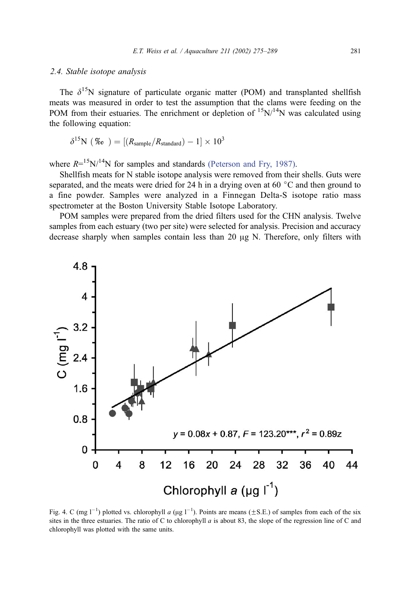#### <span id="page-6-0"></span>2.4. Stable isotope analysis

The  $\delta^{15}N$  signature of particulate organic matter (POM) and transplanted shellfish meats was measured in order to test the assumption that the clams were feeding on the POM from their estuaries. The enrichment or depletion of  $15N/14N$  was calculated using the following equation:

$$
\delta^{15} \text{N} \ (\%) = [(R_{\text{sample}}/R_{\text{standard}}) - 1] \times 10^3
$$

where  $R = 15$ N/<sup>14</sup>N for samples and standards [\(Peterson and Fry, 1987\).](#page-14-0)

Shellfish meats for N stable isotope analysis were removed from their shells. Guts were separated, and the meats were dried for 24 h in a drying oven at 60  $\degree$ C and then ground to a fine powder. Samples were analyzed in a Finnegan Delta-S isotope ratio mass spectrometer at the Boston University Stable Isotope Laboratory.

POM samples were prepared from the dried filters used for the CHN analysis. Twelve samples from each estuary (two per site) were selected for analysis. Precision and accuracy decrease sharply when samples contain less than 20  $\mu$ g N. Therefore, only filters with



Fig. 4. C (mg  $1^{-1}$ ) plotted vs. chlorophyll a ( $\mu$ g  $1^{-1}$ ). Points are means ( $\pm$ S.E.) of samples from each of the six sites in the three estuaries. The ratio of C to chlorophyll  $a$  is about 83, the slope of the regression line of C and chlorophyll was plotted with the same units.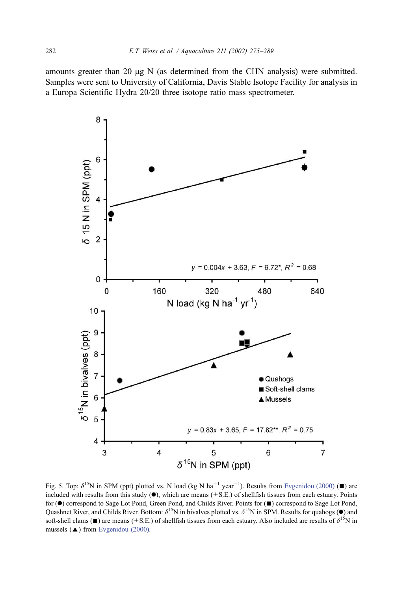<span id="page-7-0"></span>amounts greater than 20  $\mu$ g N (as determined from the CHN analysis) were submitted. Samples were sent to University of California, Davis Stable Isotope Facility for analysis in a Europa Scientific Hydra 20/20 three isotope ratio mass spectrometer.



Fig. 5. Top:  $\delta^{15}N$  in SPM (ppt) plotted vs. N load (kg N ha<sup>-1</sup> year<sup>-1</sup>). Results from [Evgenidou \(2000\)](#page-13-0) ( $\blacksquare$ ) are included with results from this study  $(\bullet)$ , which are means ( $\pm$ S.E.) of shellfish tissues from each estuary. Points for ( $\bullet$ ) correspond to Sage Lot Pond, Green Pond, and Childs River. Points for ( $\blacksquare$ ) correspond to Sage Lot Pond, Quashnet River, and Childs River. Bottom:  $\delta^{15}N$  in bivalves plotted vs.  $\delta^{15}N$  in SPM. Results for quahogs ( $\bullet$ ) and soft-shell clams ( $\equiv$ ) are means ( $\pm$ S.E.) of shellfish tissues from each estuary. Also included are results of  $\delta^{15}$ N in mussels  $(\triangle)$  from [Evgenidou \(2000\).](#page-13-0)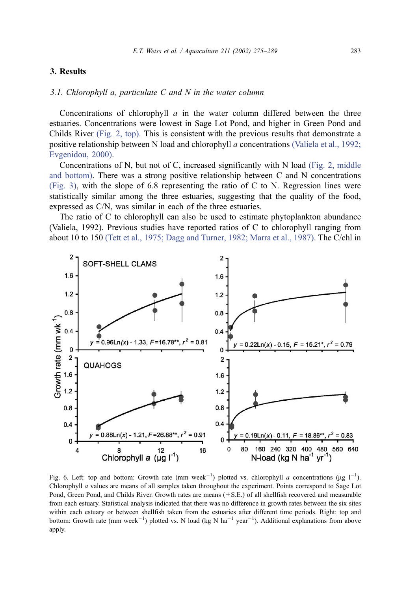# <span id="page-8-0"></span>3. Results

#### 3.1. Chlorophyll a, particulate  $C$  and  $N$  in the water column

Concentrations of chlorophyll  $a$  in the water column differed between the three estuaries. Concentrations were lowest in Sage Lot Pond, and higher in Green Pond and Childs River [\(Fig.](#page-4-0) [2,](#page-4-0) [top\).](#page-4-0) This is consistent with the previous results that demonstrate a positive relationship between N load and chlorophyll a concentrations [\(Valiela](#page-14-0) [et](#page-14-0) [al.,](#page-14-0) [1992;](#page-14-0) Evgenidou, 2000).

Concentrations of N, but not of C, increased significantly with N load [\(Fig.](#page-4-0) [2,](#page-4-0) [middle](#page-4-0) and bottom). There was a strong positive relationship between C and N concentrations [\(Fig.](#page-5-0) [3\),](#page-5-0) with the slope of 6.8 representing the ratio of C to N. Regression lines were statistically similar among the three estuaries, suggesting that the quality of the food, expressed as C/N, was similar in each of the three estuaries.

The ratio of C to chlorophyll can also be used to estimate phytoplankton abundance (Valiela, 1992). Previous studies have reported ratios of C to chlorophyll ranging from about 10 to 150 [\(Tett](#page-14-0) [et](#page-14-0) [al.,](#page-14-0) [1975;](#page-14-0) [Dagg](#page-14-0) [and](#page-14-0) [Turner,](#page-14-0) [1982;](#page-14-0) [Marra](#page-14-0) [et](#page-14-0) [al.,](#page-14-0) [1987\).](#page-14-0) The C/chl in



Fig. 6. Left: top and bottom: Growth rate (mm week<sup>-1</sup>) plotted vs. chlorophyll *a* concentrations ( $\mu$ g l<sup>-1</sup>). Chlorophyll a values are means of all samples taken throughout the experiment. Points correspond to Sage Lot Pond, Green Pond, and Childs River. Growth rates are means  $(\pm S.E.)$  of all shellfish recovered and measurable from each estuary. Statistical analysis indicated that there was no difference in growth rates between the six sites within each estuary or between shellfish taken from the estuaries after different time periods. Right: top and bottom: Growth rate (mm week<sup>-1</sup>) plotted vs. N load (kg N ha<sup>-1</sup> year<sup>-1</sup>). Additional explanations from above apply.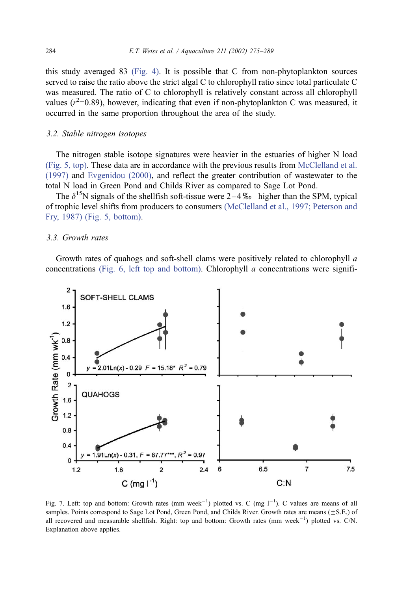<span id="page-9-0"></span>this study averaged 83 [\(Fig. 4\).](#page-6-0) It is possible that C from non-phytoplankton sources served to raise the ratio above the strict algal C to chlorophyll ratio since total particulate C was measured. The ratio of C to chlorophyll is relatively constant across all chlorophyll values ( $r^2$ =0.89), however, indicating that even if non-phytoplankton C was measured, it occurred in the same proportion throughout the area of the study.

#### 3.2. Stable nitrogen isotopes

The nitrogen stable isotope signatures were heavier in the estuaries of higher N load [\(Fig. 5, top\).](#page-7-0) These data are in accordance with the previous results from [McClelland et al.](#page-14-0) (1997) and [Evgenidou \(2000\),](#page-13-0) and reflect the greater contribution of wastewater to the total N load in Green Pond and Childs River as compared to Sage Lot Pond.

The  $\delta^{15}N$  signals of the shellfish soft-tissue were 2–4\% higher than the SPM, typical of trophic level shifts from producers to consumers [\(McClelland et al., 1997; Peterson and](#page-14-0) Fry, 1987) [\(Fig. 5, bottom\).](#page-7-0)

# 3.3. Growth rates

Growth rates of quahogs and soft-shell clams were positively related to chlorophyll a concentrations [\(Fig. 6, left top and bottom\).](#page-8-0) Chlorophyll  $a$  concentrations were signifi-



Fig. 7. Left: top and bottom: Growth rates (mm week<sup>-1</sup>) plotted vs. C (mg  $1^{-1}$ ). C values are means of all samples. Points correspond to Sage Lot Pond, Green Pond, and Childs River. Growth rates are means  $(\pm S.E.)$  of all recovered and measurable shellfish. Right: top and bottom: Growth rates  $(nm \text{ week}^{-1})$  plotted vs. C/N. Explanation above applies.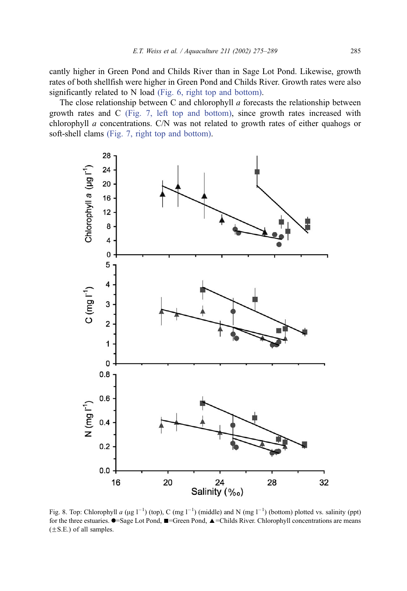<span id="page-10-0"></span>cantly higher in Green Pond and Childs River than in Sage Lot Pond. Likewise, growth rates of both shellfish were higher in Green Pond and Childs River. Growth rates were also significantly related to N load [\(Fig. 6, right top and bottom\).](#page-8-0)

The close relationship between C and chlorophyll  $a$  forecasts the relationship between growth rates and C [\(Fig. 7, left top and bottom\),](#page-9-0) since growth rates increased with chlorophyll a concentrations. C/N was not related to growth rates of either quahogs or soft-shell clams [\(Fig. 7, right top and bottom\).](#page-9-0)



Fig. 8. Top: Chlorophyll a ( $\mu$ g l<sup>-1</sup>) (top), C (mg l<sup>-1</sup>) (middle) and N (mg l<sup>-1</sup>) (bottom) plotted vs. salinity (ppt) for the three estuaries.  $\bullet$ =Sage Lot Pond,  $\bullet$  =Green Pond,  $\bullet$  =Childs River. Chlorophyll concentrations are means  $(\pm S.E.)$  of all samples.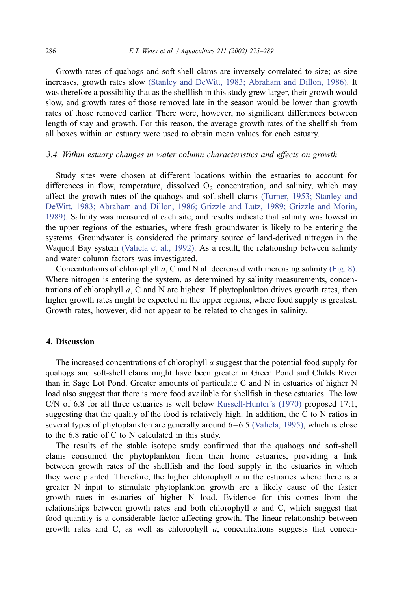Growth rates of quahogs and soft-shell clams are inversely correlated to size; as size increases, growth rates slow [\(Stanley and DeWitt, 1983; Abraham and Dillon, 1986\).](#page-14-0) It was therefore a possibility that as the shellfish in this study grew larger, their growth would slow, and growth rates of those removed late in the season would be lower than growth rates of those removed earlier. There were, however, no significant differences between length of stay and growth. For this reason, the average growth rates of the shellfish from all boxes within an estuary were used to obtain mean values for each estuary.

#### 3.4. Within estuary changes in water column characteristics and effects on growth

Study sites were chosen at different locations within the estuaries to account for differences in flow, temperature, dissolved  $O<sub>2</sub>$  concentration, and salinity, which may affect the growth rates of the quahogs and soft-shell clams [\(Turner, 1953; Stanley and](#page-14-0) DeWitt, 1983; Abraham and Dillon, 1986; Grizzle and Lutz, 1989; Grizzle and Morin, 1989). Salinity was measured at each site, and results indicate that salinity was lowest in the upper regions of the estuaries, where fresh groundwater is likely to be entering the systems. Groundwater is considered the primary source of land-derived nitrogen in the Waquoit Bay system [\(Valiela et al., 1992\).](#page-14-0) As a result, the relationship between salinity and water column factors was investigated.

Concentrations of chlorophyll a, C and N all decreased with increasing salinity [\(Fig. 8\).](#page-10-0) Where nitrogen is entering the system, as determined by salinity measurements, concentrations of chlorophyll  $a$ , C and N are highest. If phytoplankton drives growth rates, then higher growth rates might be expected in the upper regions, where food supply is greatest. Growth rates, however, did not appear to be related to changes in salinity.

# 4. Discussion

The increased concentrations of chlorophyll a suggest that the potential food supply for quahogs and soft-shell clams might have been greater in Green Pond and Childs River than in Sage Lot Pond. Greater amounts of particulate C and N in estuaries of higher N load also suggest that there is more food available for shellfish in these estuaries. The low C/N of 6.8 for all three estuaries is well below [Russell-Hunter's \(1970\)](#page-14-0) proposed 17:1, suggesting that the quality of the food is relatively high. In addition, the C to N ratios in several types of phytoplankton are generally around  $6-6.5$  [\(Valiela, 1995\),](#page-14-0) which is close to the 6.8 ratio of C to N calculated in this study.

The results of the stable isotope study confirmed that the quahogs and soft-shell clams consumed the phytoplankton from their home estuaries, providing a link between growth rates of the shellfish and the food supply in the estuaries in which they were planted. Therefore, the higher chlorophyll  $a$  in the estuaries where there is a greater N input to stimulate phytoplankton growth are a likely cause of the faster growth rates in estuaries of higher N load. Evidence for this comes from the relationships between growth rates and both chlorophyll  $a$  and  $C$ , which suggest that food quantity is a considerable factor affecting growth. The linear relationship between growth rates and C, as well as chlorophyll  $a$ , concentrations suggests that concen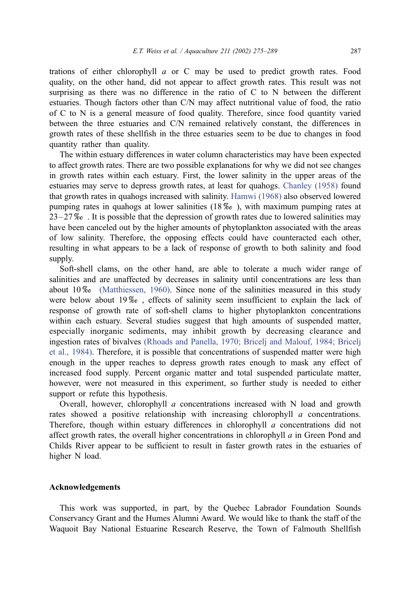trations of either chlorophyll  $a$  or C may be used to predict growth rates. Food quality, on the other hand, did not appear to affect growth rates. This result was not surprising as there was no difference in the ratio of C to N between the different estuaries. Though factors other than C/N may affect nutritional value of food, the ratio of C to N is a general measure of food quality. Therefore, since food quantity varied between the three estuaries and C/N remained relatively constant, the differences in growth rates of these shellfish in the three estuaries seem to be due to changes in food quantity rather than quality.

The within estuary differences in water column characteristics may have been expected to affect growth rates. There are two possible explanations for why we did not see changes in growth rates within each estuary. First, the lower salinity in the upper areas of the estuaries may serve to depress growth rates, at least for quahogs. [Chanley \(1958\)](#page-13-0) found that growth rates in quahogs increased with salinity. [Hamwi \(1968\)](#page-13-0) also observed lowered pumping rates in quahogs at lower salinities  $(18\%_0)$ , with maximum pumping rates at  $23 - 27\%$ . It is possible that the depression of growth rates due to lowered salinities may have been canceled out by the higher amounts of phytoplankton associated with the areas of low salinity. Therefore, the opposing effects could have counteracted each other, resulting in what appears to be a lack of response of growth to both salinity and food supply.

Soft-shell clams, on the other hand, are able to tolerate a much wider range of salinities and are unaffected by decreases in salinity until concentrations are less than about  $10\%$  [\(Matthiessen, 1960\).](#page-14-0) Since none of the salinities measured in this study were below about  $19\%$ , effects of salinity seem insufficient to explain the lack of response of growth rate of soft-shell clams to higher phytoplankton concentrations within each estuary. Several studies suggest that high amounts of suspended matter, especially inorganic sediments, may inhibit growth by decreasing clearance and ingestion rates of bivalves [\(Rhoads and Panella, 1970; Bricelj and Malouf, 1984; Bricelj](#page-14-0) et al., 1984). Therefore, it is possible that concentrations of suspended matter were high enough in the upper reaches to depress growth rates enough to mask any effect of increased food supply. Percent organic matter and total suspended particulate matter, however, were not measured in this experiment, so further study is needed to either support or refute this hypothesis.

Overall, however, chlorophyll  $\alpha$  concentrations increased with N load and growth rates showed a positive relationship with increasing chlorophyll *a* concentrations. Therefore, though within estuary differences in chlorophyll a concentrations did not affect growth rates, the overall higher concentrations in chlorophyll  $a$  in Green Pond and Childs River appear to be sufficient to result in faster growth rates in the estuaries of higher N load.

# Acknowledgements

This work was supported, in part, by the Quebec Labrador Foundation Sounds Conservancy Grant and the Humes Alumni Award. We would like to thank the staff of the Waquoit Bay National Estuarine Research Reserve, the Town of Falmouth Shellfish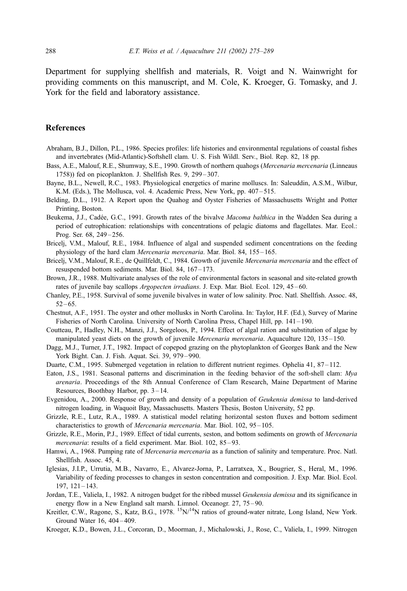<span id="page-13-0"></span>Department for supplying shellfish and materials, R. Voigt and N. Wainwright for providing comments on this manuscript, and M. Cole, K. Kroeger, G. Tomasky, and J. York for the field and laboratory assistance.

#### References

- Abraham, B.J., Dillon, P.L., 1986. Species profiles: life histories and environmental regulations of coastal fishes and invertebrates (Mid-Atlantic)-Softshell clam. U. S. Fish Wildl. Serv., Biol. Rep. 82, 18 pp.
- Bass, A.E., Malouf, R.E., Shumway, S.E., 1990. Growth of northern quahogs (Mercenaria mercenaria (Linneaus 1758)) fed on picoplankton. J. Shellfish Res. 9, 299 – 307.
- Bayne, B.L., Newell, R.C., 1983. Physiological energetics of marine molluscs. In: Saleuddin, A.S.M., Wilbur, K.M. (Eds.), The Mollusca, vol. 4. Academic Press, New York, pp. 407-515.
- Belding, D.L., 1912. A Report upon the Quahog and Oyster Fisheries of Massachusetts Wright and Potter Printing, Boston.
- Beukema, J.J., Cadée, G.C., 1991. Growth rates of the bivalve Macoma balthica in the Wadden Sea during a period of eutrophication: relationships with concentrations of pelagic diatoms and flagellates. Mar. Ecol.: Prog. Ser. 68, 249-256.
- Bricelj, V.M., Malouf, R.E., 1984. Influence of algal and suspended sediment concentrations on the feeding physiology of the hard clam Mercenaria mercenaria. Mar. Biol. 84, 155 – 165.
- Bricelj, V.M., Malouf, R.E., de Quillfeldt, C., 1984. Growth of juvenile Mercenaria mercenaria and the effect of resuspended bottom sediments. Mar. Biol. 84, 167-173.
- Brown, J.R., 1988. Multivariate analyses of the role of environmental factors in seasonal and site-related growth rates of juvenile bay scallops *Argopecten irradians*. J. Exp. Mar. Biol. Ecol. 129, 45–60.
- Chanley, P.E., 1958. Survival of some juvenile bivalves in water of low salinity. Proc. Natl. Shellfish. Assoc. 48,  $52 - 65.$
- Chestnut, A.F., 1951. The oyster and other mollusks in North Carolina. In: Taylor, H.F. (Ed.), Survey of Marine Fisheries of North Carolina. University of North Carolina Press, Chapel Hill, pp. 141 – 190.
- Coutteau, P., Hadley, N.H., Manzi, J.J., Sorgeloos, P., 1994. Effect of algal ration and substitution of algae by manipulated yeast diets on the growth of juvenile *Mercenaria mercenaria*. Aquaculture 120, 135–150.
- Dagg, M.J., Turner, J.T., 1982. Impact of copepod grazing on the phytoplankton of Georges Bank and the New York Bight. Can. J. Fish. Aquat. Sci. 39, 979 – 990.
- Duarte, C.M., 1995. Submerged vegetation in relation to different nutrient regimes. Ophelia 41, 87-112.
- Eaton, J.S., 1981. Seasonal patterns and discrimination in the feeding behavior of the soft-shell clam: Mya arenaria. Proceedings of the 8th Annual Conference of Clam Research, Maine Department of Marine Resources, Boothbay Harbor, pp. 3 – 14.
- Evgenidou, A., 2000. Response of growth and density of a population of Geukensia demissa to land-derived nitrogen loading, in Waquoit Bay, Massachusetts. Masters Thesis, Boston University, 52 pp.
- Grizzle, R.E., Lutz, R.A., 1989. A statistical model relating horizontal seston fluxes and bottom sediment characteristics to growth of *Mercenaria mercenaria*. Mar. Biol. 102, 95-105.
- Grizzle, R.E., Morin, P.J., 1989. Effect of tidal currents, seston, and bottom sediments on growth of Mercenaria mercenaria: results of a field experiment. Mar. Biol. 102, 85–93.
- Hamwi, A., 1968. Pumping rate of *Mercenaria mercenaria* as a function of salinity and temperature. Proc. Natl. Shellfish. Assoc. 45, 4.
- Iglesias, J.I.P., Urrutia, M.B., Navarro, E., Alvarez-Jorna, P., Larratxea, X., Bougrier, S., Heral, M., 1996. Variability of feeding processes to changes in seston concentration and composition. J. Exp. Mar. Biol. Ecol. 197, 121 – 143.
- Jordan, T.E., Valiela, I., 1982. A nitrogen budget for the ribbed mussel Geukensia demissa and its significance in energy flow in a New England salt marsh. Limnol. Oceanogr. 27, 75–90.
- Kreitler, C.W., Ragone, S., Katz, B.G., 1978. <sup>15</sup>N/<sup>14</sup>N ratios of ground-water nitrate, Long Island, New York. Ground Water 16, 404 – 409.
- Kroeger, K.D., Bowen, J.L., Corcoran, D., Moorman, J., Michalowski, J., Rose, C., Valiela, I., 1999. Nitrogen